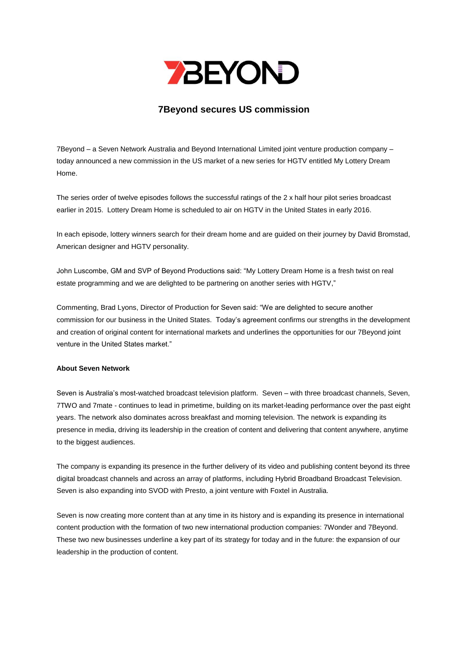

## **7Beyond secures US commission**

7Beyond – a Seven Network Australia and Beyond International Limited joint venture production company – today announced a new commission in the US market of a new series for HGTV entitled My Lottery Dream Home.

The series order of twelve episodes follows the successful ratings of the 2 x half hour pilot series broadcast earlier in 2015. Lottery Dream Home is scheduled to air on HGTV in the United States in early 2016.

In each episode, lottery winners search for their dream home and are guided on their journey by David Bromstad, American designer and HGTV personality.

John Luscombe, GM and SVP of Beyond Productions said: "My Lottery Dream Home is a fresh twist on real estate programming and we are delighted to be partnering on another series with HGTV,"

Commenting, Brad Lyons, Director of Production for Seven said: "We are delighted to secure another commission for our business in the United States. Today's agreement confirms our strengths in the development and creation of original content for international markets and underlines the opportunities for our 7Beyond joint venture in the United States market."

## **About Seven Network**

Seven is Australia's most-watched broadcast television platform. Seven – with three broadcast channels, Seven, 7TWO and 7mate - continues to lead in primetime, building on its market-leading performance over the past eight years. The network also dominates across breakfast and morning television. The network is expanding its presence in media, driving its leadership in the creation of content and delivering that content anywhere, anytime to the biggest audiences.

The company is expanding its presence in the further delivery of its video and publishing content beyond its three digital broadcast channels and across an array of platforms, including Hybrid Broadband Broadcast Television. Seven is also expanding into SVOD with Presto, a joint venture with Foxtel in Australia.

Seven is now creating more content than at any time in its history and is expanding its presence in international content production with the formation of two new international production companies: 7Wonder and 7Beyond. These two new businesses underline a key part of its strategy for today and in the future: the expansion of our leadership in the production of content.